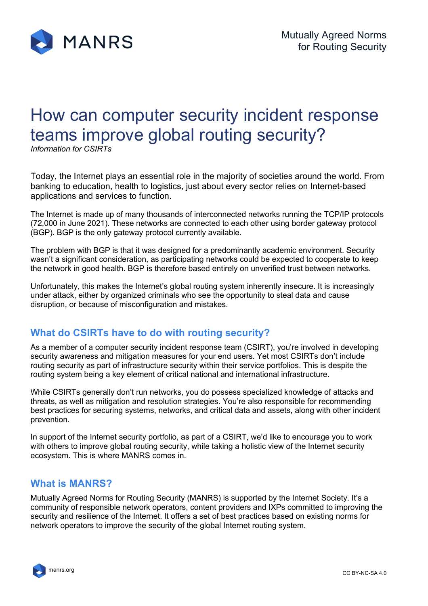

# How can computer security incident response teams improve global routing security?

*Information for CSIRTs*

Today, the Internet plays an essential role in the majority of societies around the world. From banking to education, health to logistics, just about every sector relies on Internet-based applications and services to function.

The Internet is made up of many thousands of interconnected networks running the TCP/IP protocols (72,000 in June 2021). These networks are connected to each other using border gateway protocol (BGP). BGP is the only gateway protocol currently available.

The problem with BGP is that it was designed for a predominantly academic environment. Security wasn't a significant consideration, as participating networks could be expected to cooperate to keep the network in good health. BGP is therefore based entirely on unverified trust between networks.

Unfortunately, this makes the Internet's global routing system inherently insecure. It is increasingly under attack, either by organized criminals who see the opportunity to steal data and cause disruption, or because of misconfiguration and mistakes.

### **What do CSIRTs have to do with routing security?**

As a member of a computer security incident response team (CSIRT), you're involved in developing security awareness and mitigation measures for your end users. Yet most CSIRTs don't include routing security as part of infrastructure security within their service portfolios. This is despite the routing system being a key element of critical national and international infrastructure.

While CSIRTs generally don't run networks, you do possess specialized knowledge of attacks and threats, as well as mitigation and resolution strategies. You're also responsible for recommending best practices for securing systems, networks, and critical data and assets, along with other incident prevention.

In support of the Internet security portfolio, as part of a CSIRT, we'd like to encourage you to work with others to improve global routing security, while taking a holistic view of the Internet security ecosystem. This is where MANRS comes in.

#### **What is MANRS?**

Mutually Agreed Norms for Routing Security (MANRS) is supported by the Internet Society. It's a community of responsible network operators, content providers and IXPs committed to improving the security and resilience of the Internet. It offers a set of best practices based on existing norms for network operators to improve the security of the global Internet routing system.

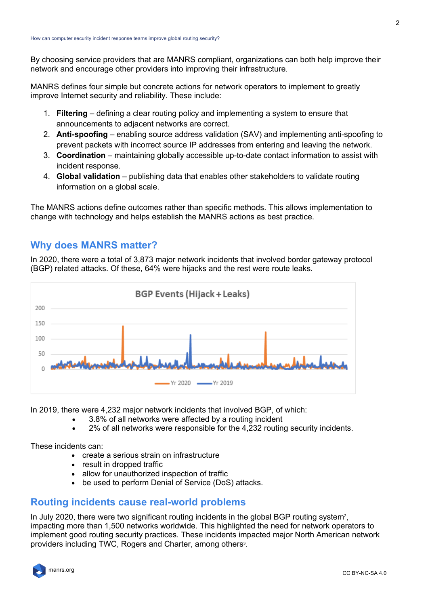By choosing service providers that are MANRS compliant, organizations can both help improve their network and encourage other providers into improving their infrastructure.

MANRS defines four simple but concrete actions for network operators to implement to greatly improve Internet security and reliability. These include:

- 1. **Filtering** defining a clear routing policy and implementing a system to ensure that announcements to adjacent networks are correct.
- 2. **Anti-spoofing** enabling source address validation (SAV) and implementing anti-spoofing to prevent packets with incorrect source IP addresses from entering and leaving the network.
- 3. **Coordination** maintaining globally accessible up-to-date contact information to assist with incident response.
- 4. **Global validation** publishing data that enables other stakeholders to validate routing information on a global scale.

The MANRS actions define outcomes rather than specific methods. This allows implementation to change with technology and helps establish the MANRS actions as best practice.

#### **Why does MANRS matter?**

In 2020, there were a total of 3,873 major network incidents that involved border gateway protocol (BGP) related attacks. Of these, 64% were hijacks and the rest were route leaks.



In 2019, there were 4,232 major network incidents that involved BGP, of which:

- 3.8% of all networks were affected by a routing incident
- 2% of all networks were responsible for the 4,232 routing security incidents.

These incidents can:

- create a serious strain on infrastructure
- result in dropped traffic
- allow for unauthorized inspection of traffic
- be used to perform Denial of Service (DoS) attacks.

#### **Routing incidents cause real-world problems**

In July 2020, there were two significant routing incidents in the global BGP routing system<sup>2</sup>, impacting more than 1,500 networks worldwide. This highlighted the need for network operators to implement good routing security practices. These incidents impacted major North American network providers including TWC, Rogers and Charter, among others<sup>3</sup>.